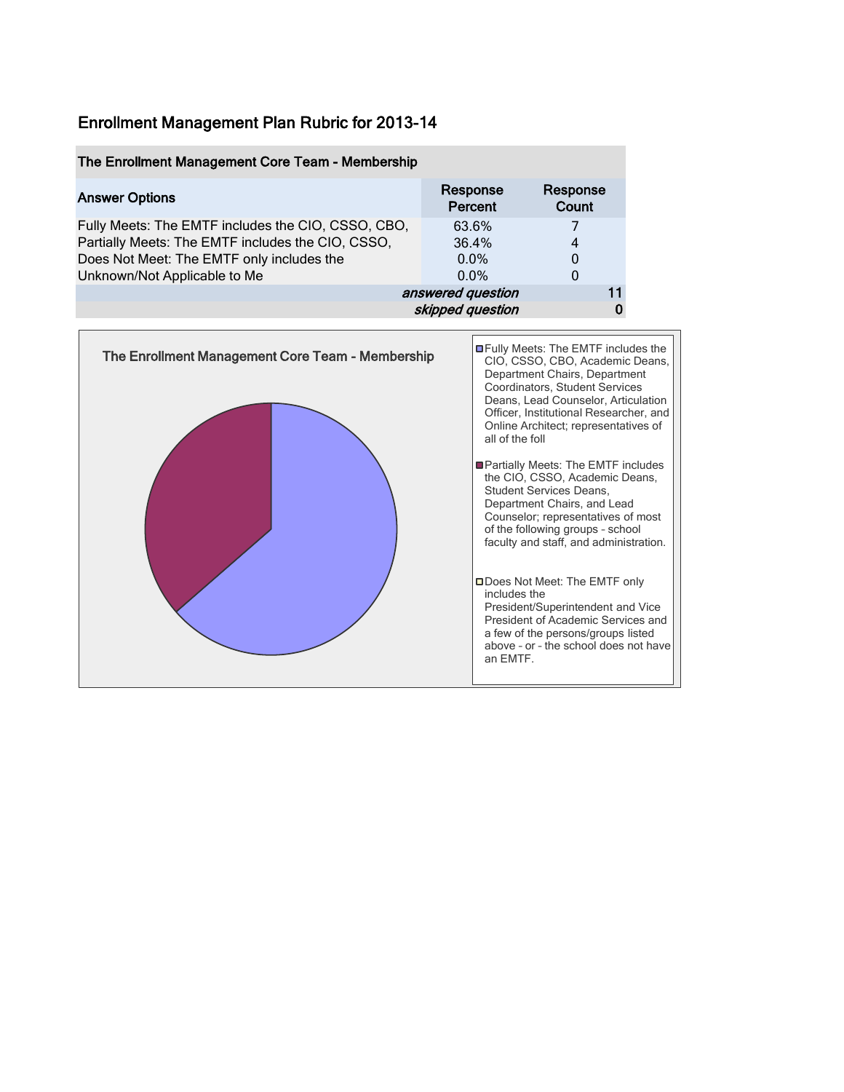| The Enrollment Management Core Team - Membership   |                     |                   |
|----------------------------------------------------|---------------------|-------------------|
| <b>Answer Options</b>                              | Response<br>Percent | Response<br>Count |
| Fully Meets: The EMTF includes the CIO, CSSO, CBO, | 63.6%               |                   |
| Partially Meets: The EMTF includes the CIO, CSSO,  | 36.4%               | 4                 |
| Does Not Meet: The EMTF only includes the          | $0.0\%$             |                   |
| Unknown/Not Applicable to Me                       | $0.0\%$             | 0                 |
|                                                    | answered question   |                   |
|                                                    | skipped question    |                   |

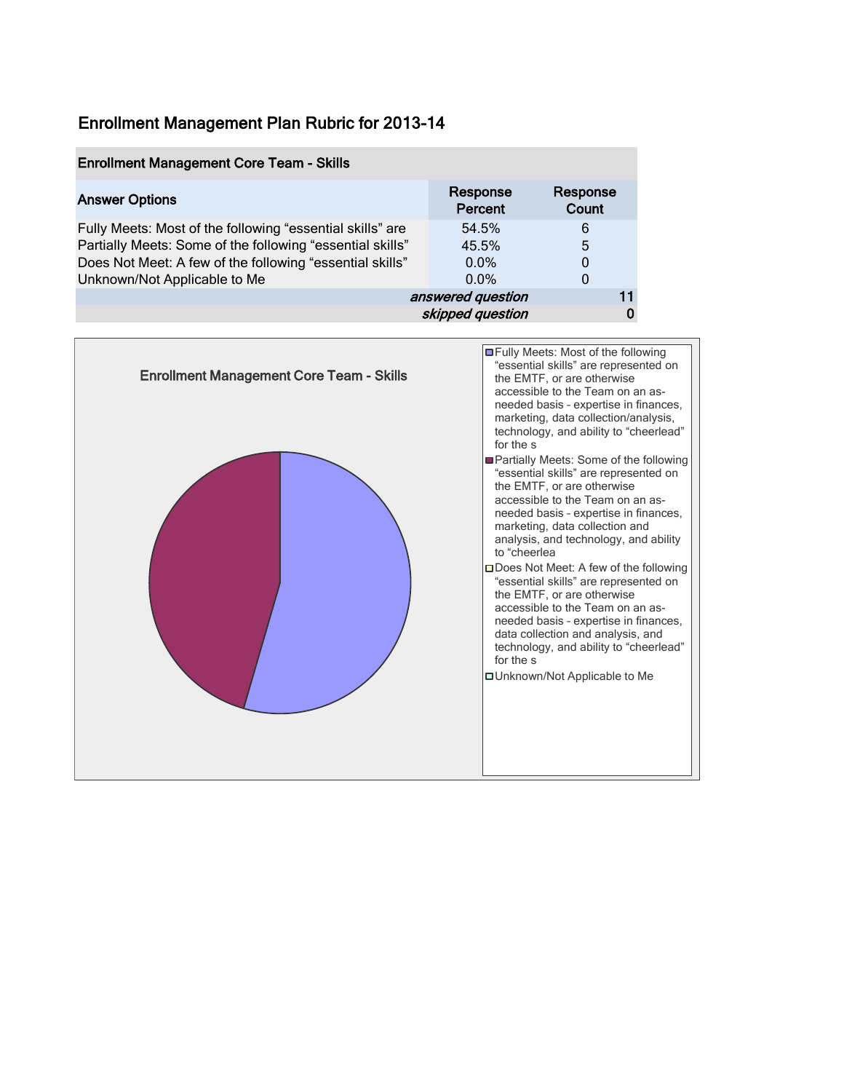| <b>Enrollment Management Core Team - Skills</b>           |                     |                   |
|-----------------------------------------------------------|---------------------|-------------------|
| <b>Answer Options</b>                                     | Response<br>Percent | Response<br>Count |
| Fully Meets: Most of the following "essential skills" are | 54.5%               | 6                 |
| Partially Meets: Some of the following "essential skills" | 45.5%               | 5                 |
| Does Not Meet: A few of the following "essential skills"  | $0.0\%$             | 0                 |
| Unknown/Not Applicable to Me                              | $0.0\%$             | 0                 |
|                                                           | answered question   |                   |
|                                                           | skipped question    |                   |

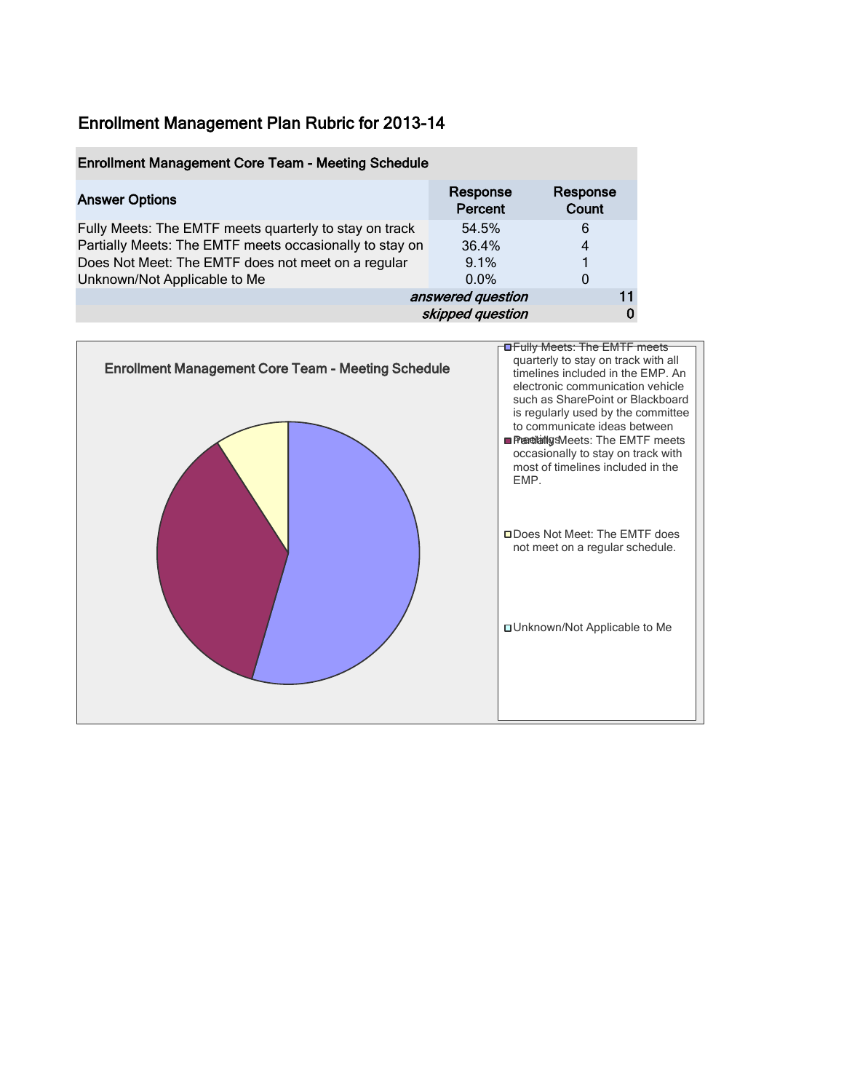| <b>Enrollment Management Core Team - Meeting Schedule</b> |                     |                   |   |
|-----------------------------------------------------------|---------------------|-------------------|---|
| <b>Answer Options</b>                                     | Response<br>Percent | Response<br>Count |   |
| Fully Meets: The EMTF meets quarterly to stay on track    | 54.5%               | 6                 |   |
| Partially Meets: The EMTF meets occasionally to stay on   | 36.4%               | 4                 |   |
| Does Not Meet: The EMTF does not meet on a regular        | 9.1%                |                   |   |
| Unknown/Not Applicable to Me                              | $0.0\%$             | 0                 |   |
|                                                           | answered question   | 11                |   |
|                                                           | skipped question    |                   | 0 |

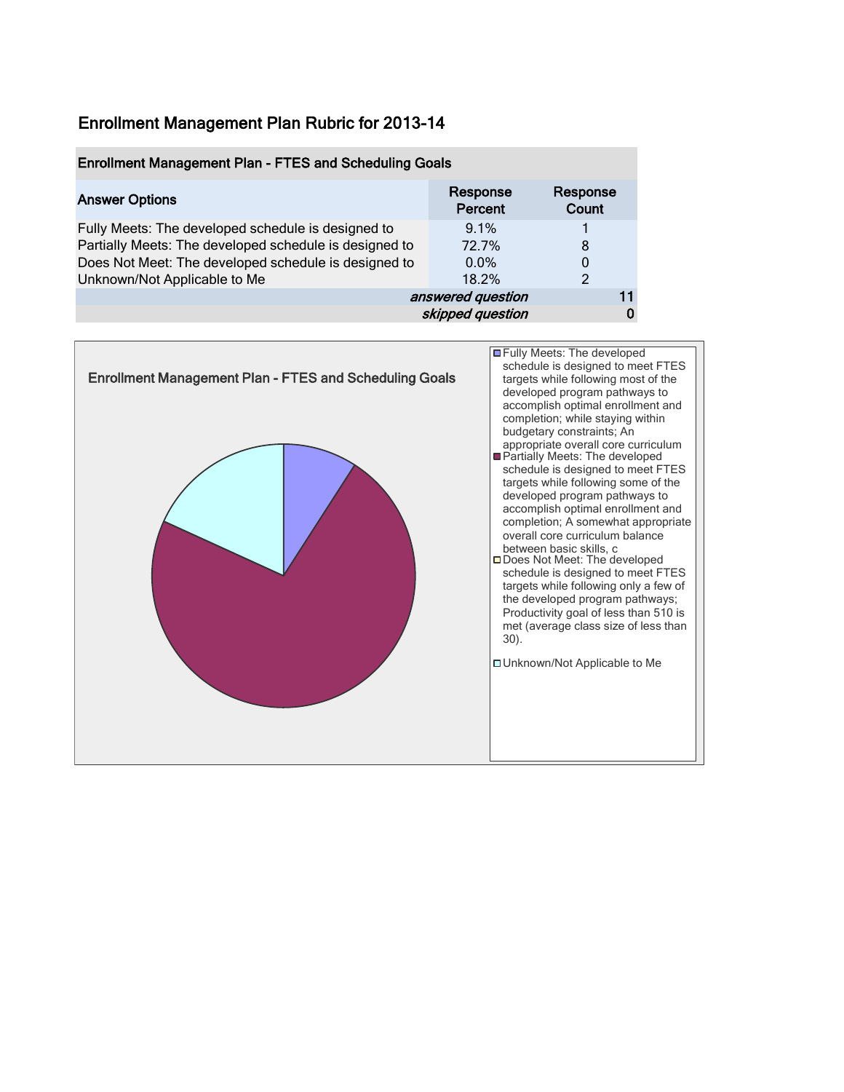#### Enrollment Management Plan - FTES and Scheduling Goals

| <b>Answer Options</b>                                  | Response<br>Percent | Response<br>Count |    |
|--------------------------------------------------------|---------------------|-------------------|----|
| Fully Meets: The developed schedule is designed to     | 9.1%                |                   |    |
| Partially Meets: The developed schedule is designed to | 72.7%               | 8                 |    |
| Does Not Meet: The developed schedule is designed to   | $0.0\%$             | 0                 |    |
| Unknown/Not Applicable to Me                           | 18.2%               | $\mathcal{P}$     |    |
|                                                        | answered question   |                   | 11 |
|                                                        | skipped question    |                   | 0  |

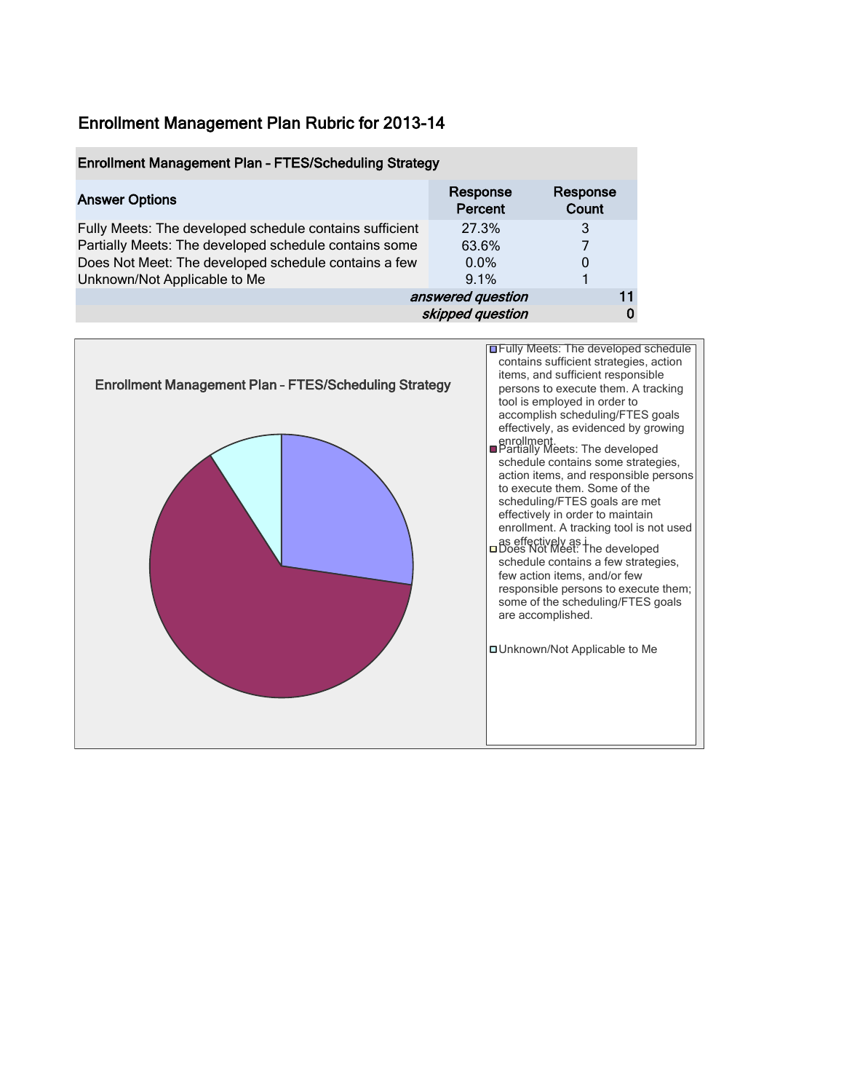#### Enrollment Management Plan – FTES/Scheduling Strategy

| <b>Answer Options</b>                                   | Response<br>Percent | Response<br>Count |  |
|---------------------------------------------------------|---------------------|-------------------|--|
| Fully Meets: The developed schedule contains sufficient | 27.3%               | 3                 |  |
| Partially Meets: The developed schedule contains some   | 63.6%               |                   |  |
| Does Not Meet: The developed schedule contains a few    | $0.0\%$             | 0                 |  |
| Unknown/Not Applicable to Me                            | 9.1%                |                   |  |
|                                                         | answered question   | 11                |  |
|                                                         | skipped question    |                   |  |

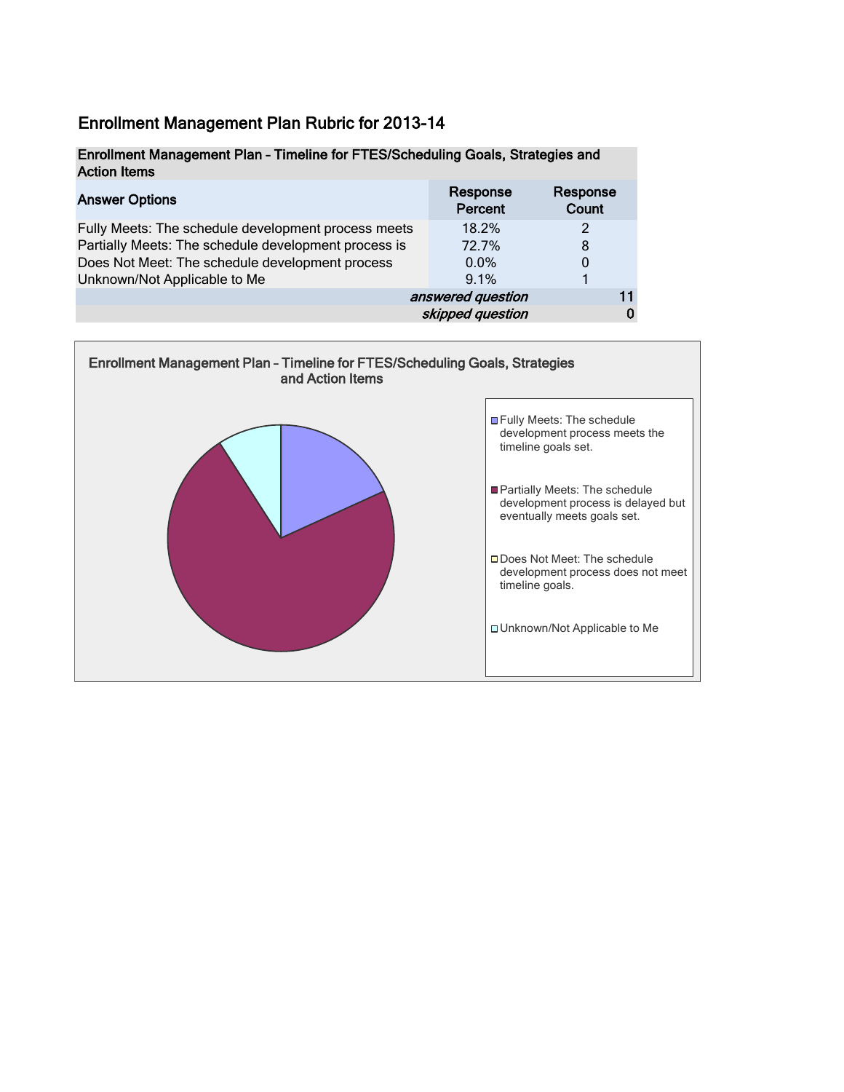#### Enrollment Management Plan – Timeline for FTES/Scheduling Goals, Strategies and Action Items

| <b>Answer Options</b>                                | Response<br>Percent | Response<br>Count |
|------------------------------------------------------|---------------------|-------------------|
| Fully Meets: The schedule development process meets  | 18.2%               |                   |
| Partially Meets: The schedule development process is | 72.7%               | 8                 |
| Does Not Meet: The schedule development process      | $0.0\%$             | 0                 |
| Unknown/Not Applicable to Me                         | 9.1%                |                   |
|                                                      | answered question   |                   |
|                                                      | skipped question    |                   |

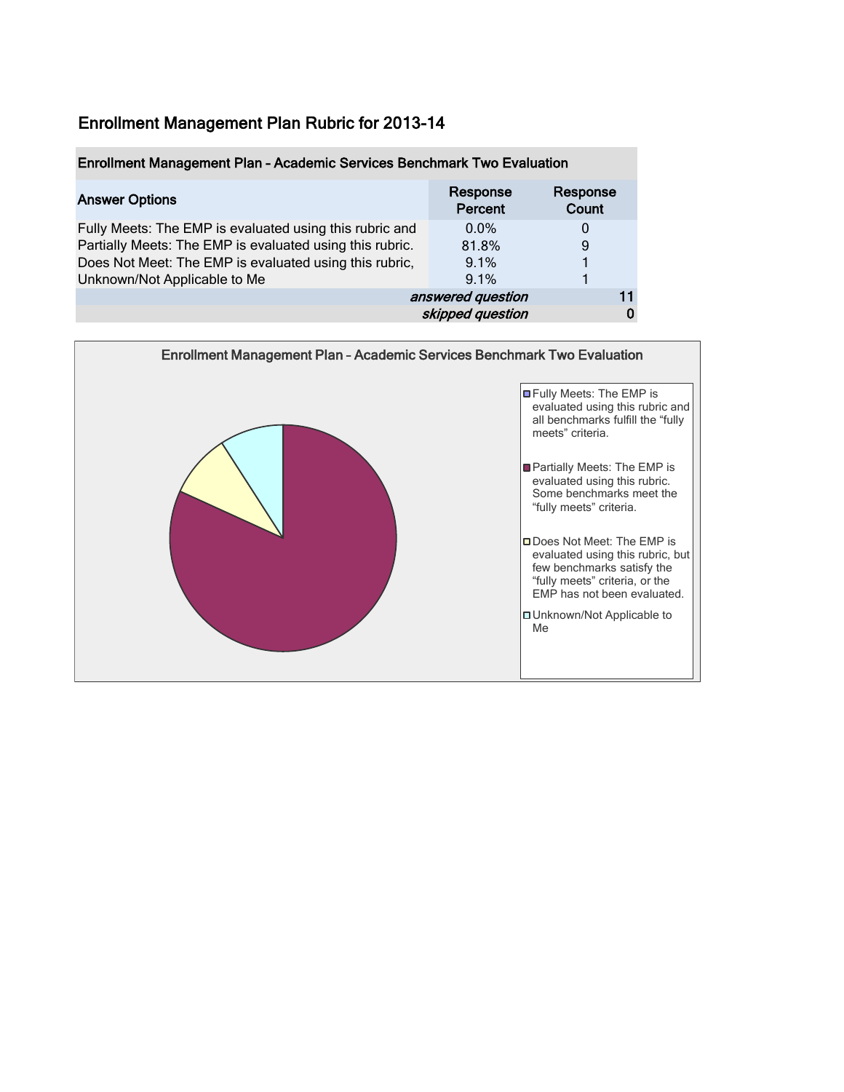| Enrollment Management Plan - Academic Services Benchmark Two Evaluation |                     |                   |  |
|-------------------------------------------------------------------------|---------------------|-------------------|--|
| <b>Answer Options</b>                                                   | Response<br>Percent | Response<br>Count |  |
| Fully Meets: The EMP is evaluated using this rubric and                 | $0.0\%$             | 0                 |  |
| Partially Meets: The EMP is evaluated using this rubric.                | 81.8%               | 9                 |  |
| Does Not Meet: The EMP is evaluated using this rubric,                  | 9.1%                |                   |  |
| Unknown/Not Applicable to Me                                            | 9.1%                |                   |  |
|                                                                         | answered question   |                   |  |
|                                                                         | skipped question    |                   |  |

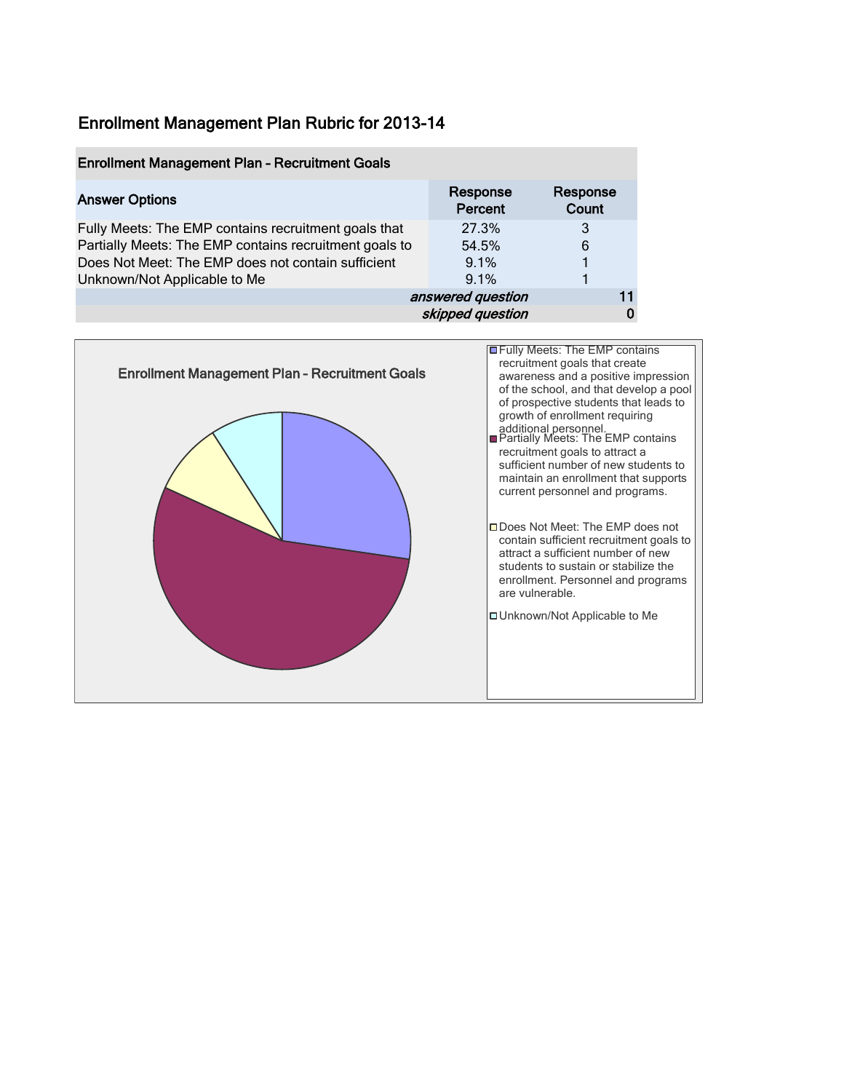| <b>Enrollment Management Plan - Recruitment Goals</b>  |                     |                   |
|--------------------------------------------------------|---------------------|-------------------|
| <b>Answer Options</b>                                  | Response<br>Percent | Response<br>Count |
| Fully Meets: The EMP contains recruitment goals that   | 27.3%               | 3                 |
| Partially Meets: The EMP contains recruitment goals to | 54.5%               | 6                 |
| Does Not Meet: The EMP does not contain sufficient     | 9.1%                |                   |
| Unknown/Not Applicable to Me                           | 9.1%                |                   |
|                                                        | answered question   | 11                |
|                                                        | skipped question    |                   |

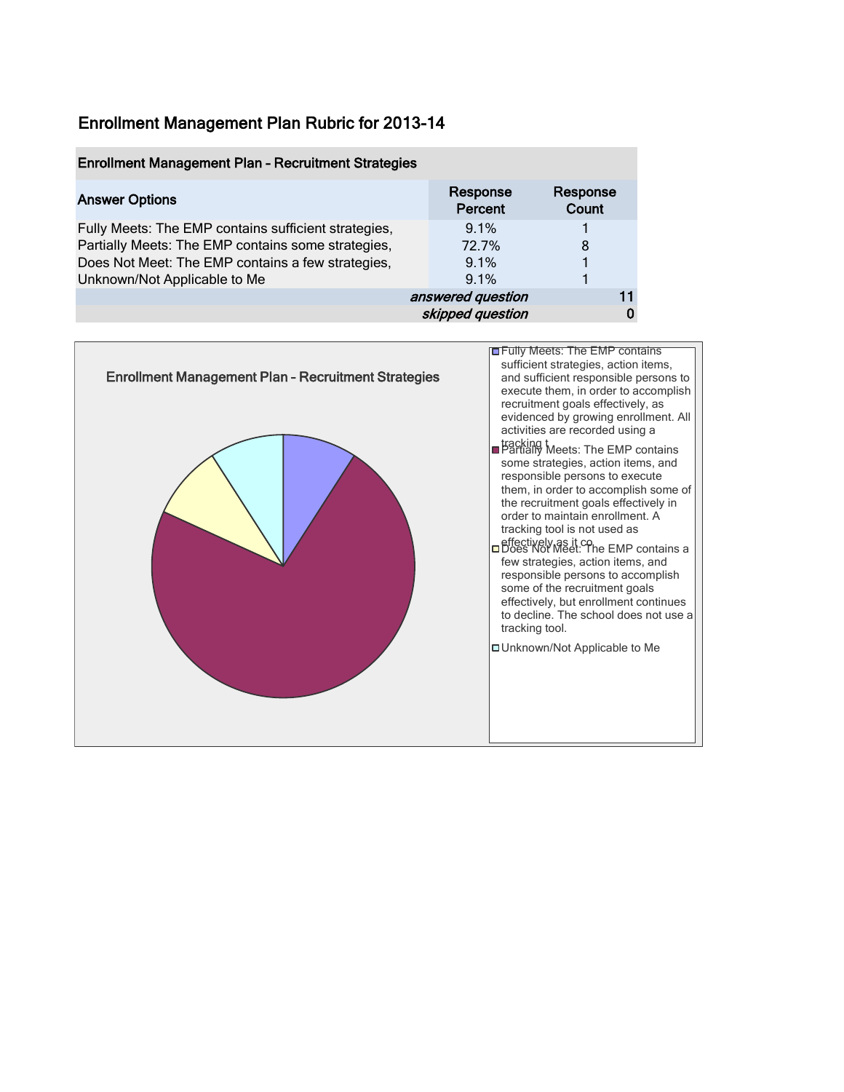#### Enrollment Management Plan – Recruitment Strategies

| <b>Answer Options</b>                                | Response<br>Percent | Response<br>Count |  |
|------------------------------------------------------|---------------------|-------------------|--|
| Fully Meets: The EMP contains sufficient strategies, | 9.1%                |                   |  |
| Partially Meets: The EMP contains some strategies,   | 72.7%               | 8                 |  |
| Does Not Meet: The EMP contains a few strategies,    | 9.1%                |                   |  |
| Unknown/Not Applicable to Me                         | 9.1%                |                   |  |
|                                                      | answered question   | 11                |  |
|                                                      | skipped question    |                   |  |

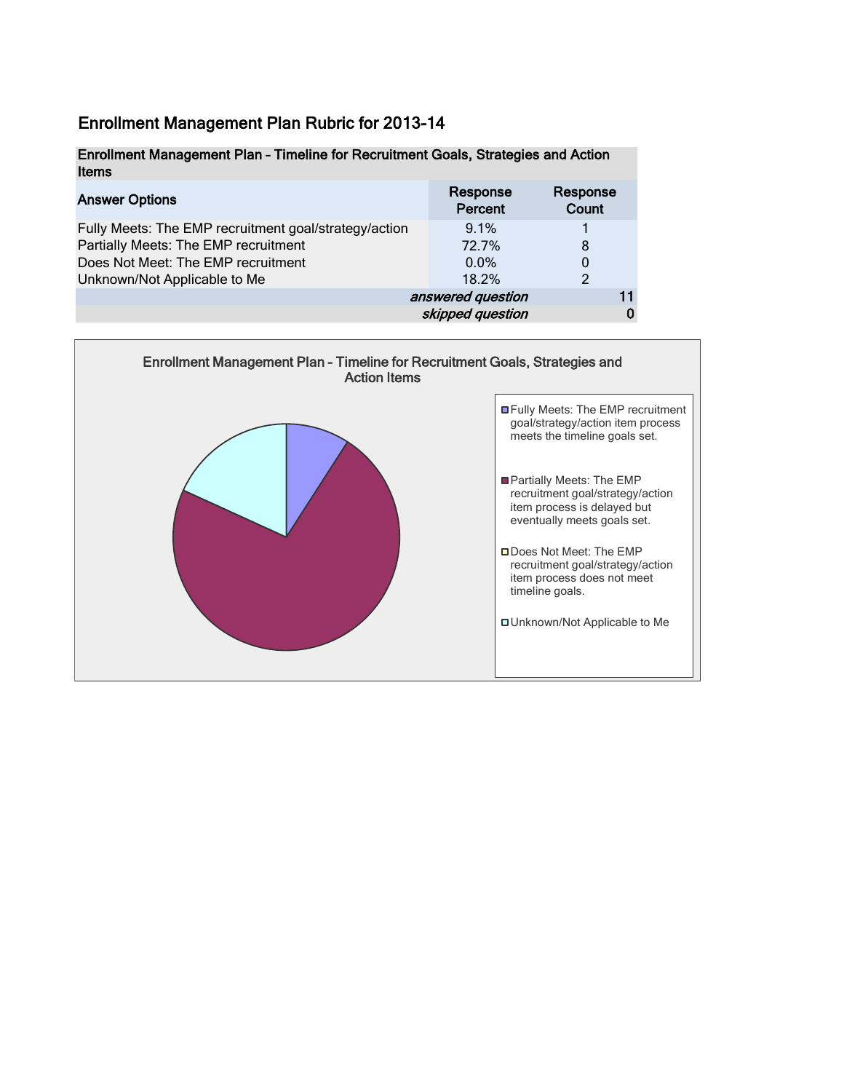| Enrollment Management Plan - Timeline for Recruitment Goals, Strategies and Action |          |          |
|------------------------------------------------------------------------------------|----------|----------|
| Items                                                                              |          |          |
| <b>Anewar Ontione</b>                                                              | Response | Response |

| <b>Answer Options</b>                                 | <b>I ICONOLISE</b><br>Percent | <b>I ICONNISC</b><br>Count |
|-------------------------------------------------------|-------------------------------|----------------------------|
| Fully Meets: The EMP recruitment goal/strategy/action | 9.1%                          |                            |
| Partially Meets: The EMP recruitment                  | 72.7%                         | 8                          |
| Does Not Meet: The EMP recruitment                    | $0.0\%$                       |                            |
| Unknown/Not Applicable to Me                          | 18.2%                         | $\mathcal{P}$              |
|                                                       | answered question             |                            |
|                                                       | skipped question              |                            |

![](_page_9_Figure_3.jpeg)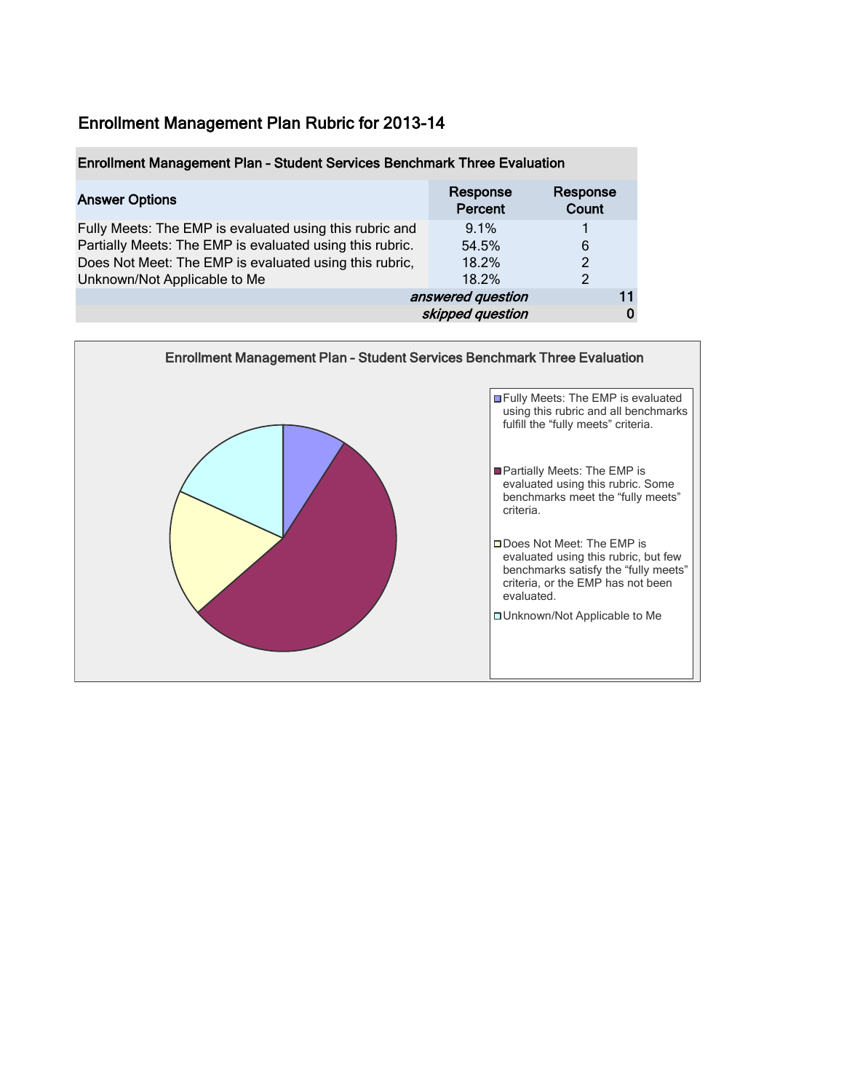| Enrollment Management Plan - Student Services Benchmark Three Evaluation |                     |                   |  |
|--------------------------------------------------------------------------|---------------------|-------------------|--|
| <b>Answer Options</b>                                                    | Response<br>Percent | Response<br>Count |  |
| Fully Meets: The EMP is evaluated using this rubric and                  | 9.1%                |                   |  |
| Partially Meets: The EMP is evaluated using this rubric.                 | 54.5%               | 6                 |  |
| Does Not Meet: The EMP is evaluated using this rubric,                   | 18.2%               | $\overline{c}$    |  |
| Unknown/Not Applicable to Me                                             | 18.2%               | $\mathcal{P}$     |  |
|                                                                          | answered question   |                   |  |
|                                                                          | skipped question    |                   |  |

![](_page_10_Figure_2.jpeg)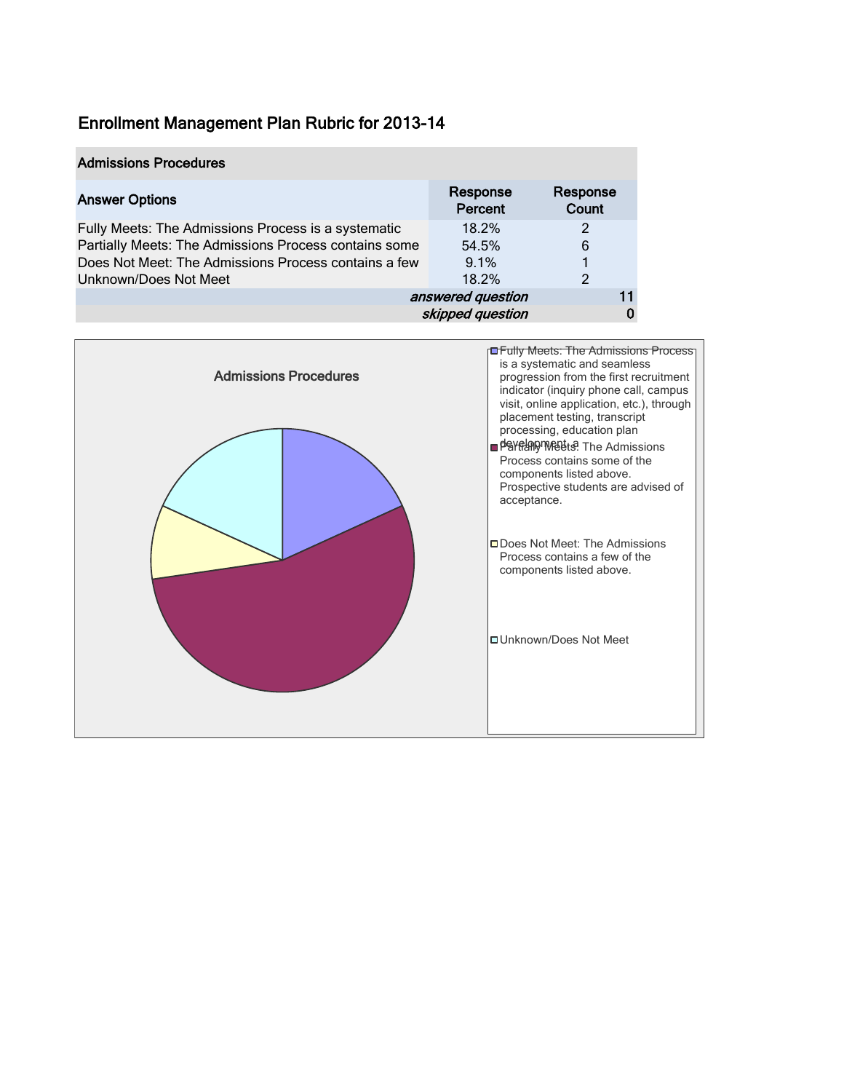### Admissions Procedures

| <b>Answer Options</b>                                 | Response<br>Percent | Response<br>Count |    |
|-------------------------------------------------------|---------------------|-------------------|----|
| Fully Meets: The Admissions Process is a systematic   | 18.2%               | 2                 |    |
| Partially Meets: The Admissions Process contains some | 54.5%               | 6                 |    |
| Does Not Meet: The Admissions Process contains a few  | 9.1%                |                   |    |
| Unknown/Does Not Meet                                 | 18.2%               | 2                 |    |
|                                                       | answered question   |                   | 11 |
|                                                       | skipped question    |                   |    |

![](_page_11_Figure_3.jpeg)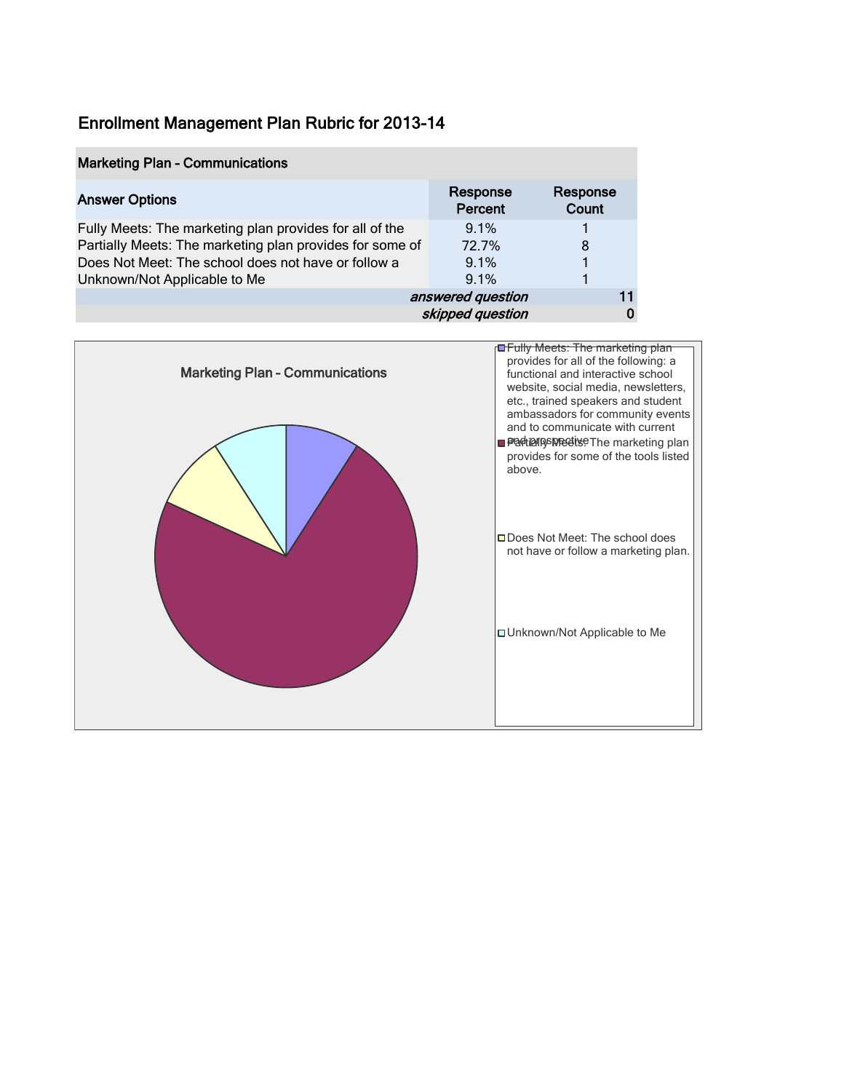#### Marketing Plan – Communications

| <b>Answer Options</b>                                    | Response<br>Percent | Response<br>Count |    |
|----------------------------------------------------------|---------------------|-------------------|----|
| Fully Meets: The marketing plan provides for all of the  | 9.1%                |                   |    |
| Partially Meets: The marketing plan provides for some of | 72.7%               | 8                 |    |
| Does Not Meet: The school does not have or follow a      | $9.1\%$             |                   |    |
| Unknown/Not Applicable to Me                             | 9.1%                |                   |    |
|                                                          | answered question   |                   | 11 |
|                                                          | skipped question    |                   | 0  |

![](_page_12_Figure_3.jpeg)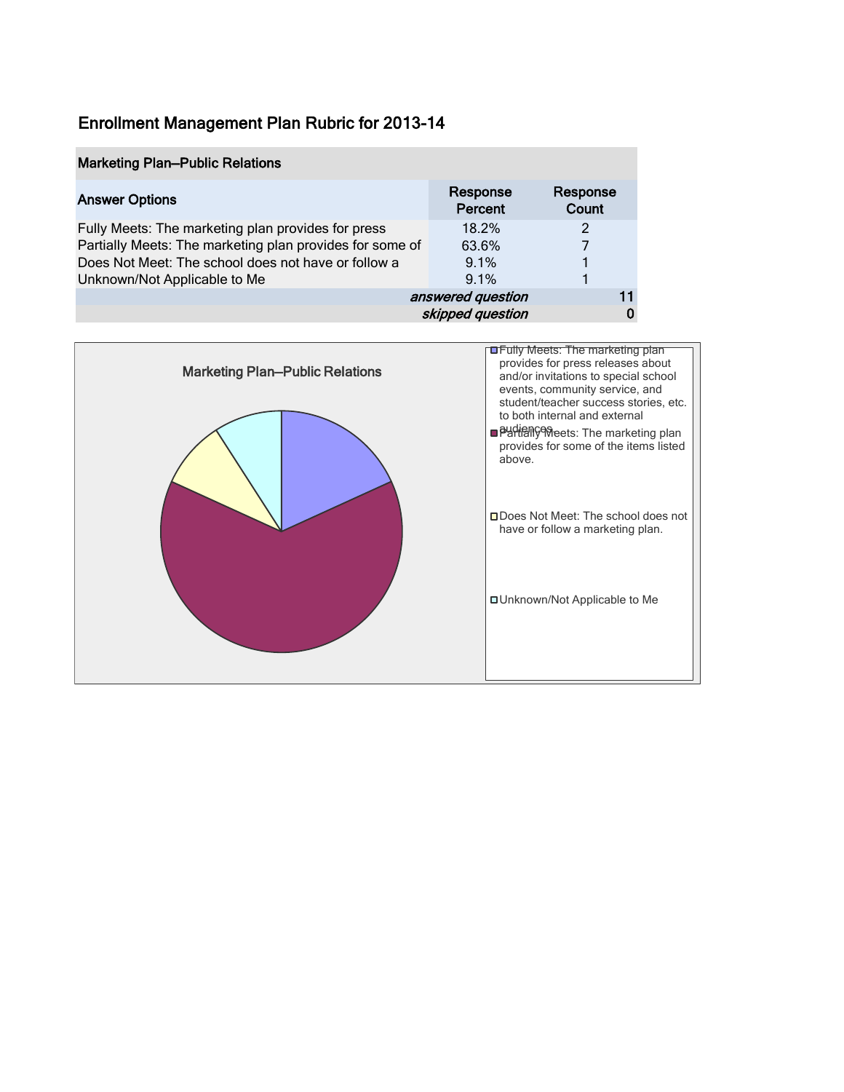| <b>Marketing Plan-Public Relations</b>                   |                     |                   |
|----------------------------------------------------------|---------------------|-------------------|
| <b>Answer Options</b>                                    | Response<br>Percent | Response<br>Count |
| Fully Meets: The marketing plan provides for press       | 18.2%               | 2                 |
| Partially Meets: The marketing plan provides for some of | 63.6%               |                   |
| Does Not Meet: The school does not have or follow a      | $9.1\%$             |                   |
| Unknown/Not Applicable to Me                             | 9.1%                |                   |
| answered question<br>11                                  |                     |                   |
|                                                          | skipped question    |                   |

![](_page_13_Figure_2.jpeg)